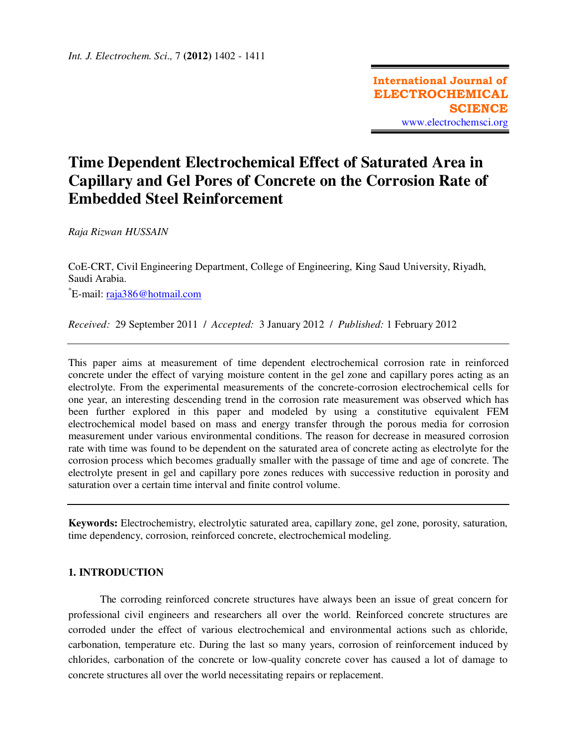# **Time Dependent Electrochemical Effect of Saturated Area in Capillary and Gel Pores of Concrete on the Corrosion Rate of Embedded Steel Reinforcement**

*Raja Rizwan HUSSAIN*

CoE-CRT, Civil Engineering Department, College of Engineering, King Saud University, Riyadh, Saudi Arabia. \*E-mail: raja386@hotmail.com

*Received:* 29 September 2011/ *Accepted:* 3 January 2012 / *Published:* 1 February 2012

This paper aims at measurement of time dependent electrochemical corrosion rate in reinforced concrete under the effect of varying moisture content in the gel zone and capillary pores acting as an electrolyte. From the experimental measurements of the concrete-corrosion electrochemical cells for one year, an interesting descending trend in the corrosion rate measurement was observed which has been further explored in this paper and modeled by using a constitutive equivalent FEM electrochemical model based on mass and energy transfer through the porous media for corrosion measurement under various environmental conditions. The reason for decrease in measured corrosion rate with time was found to be dependent on the saturated area of concrete acting as electrolyte for the corrosion process which becomes gradually smaller with the passage of time and age of concrete. The electrolyte present in gel and capillary pore zones reduces with successive reduction in porosity and saturation over a certain time interval and finite control volume.

**Keywords:** Electrochemistry, electrolytic saturated area, capillary zone, gel zone, porosity, saturation, time dependency, corrosion, reinforced concrete, electrochemical modeling.

## **1. INTRODUCTION**

The corroding reinforced concrete structures have always been an issue of great concern for professional civil engineers and researchers all over the world. Reinforced concrete structures are corroded under the effect of various electrochemical and environmental actions such as chloride, carbonation, temperature etc. During the last so many years, corrosion of reinforcement induced by chlorides, carbonation of the concrete or low-quality concrete cover has caused a lot of damage to concrete structures all over the world necessitating repairs or replacement.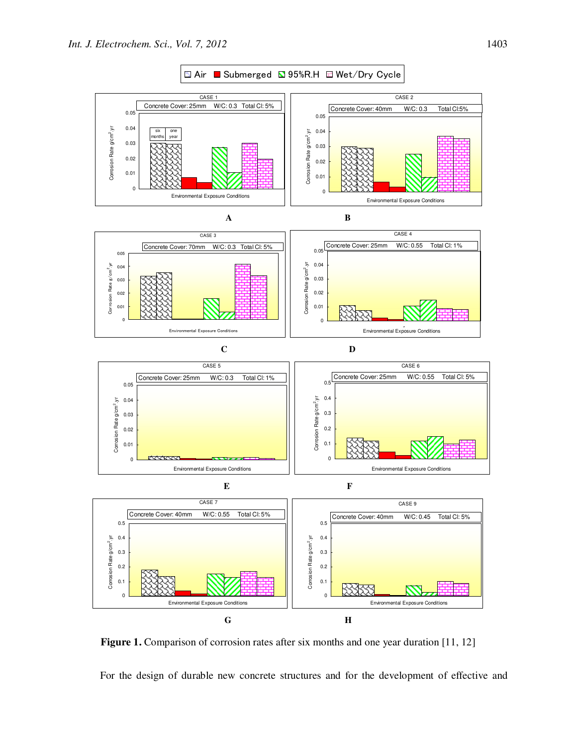

**Figure 1.** Comparison of corrosion rates after six months and one year duration [11, 12]

For the design of durable new concrete structures and for the development of effective and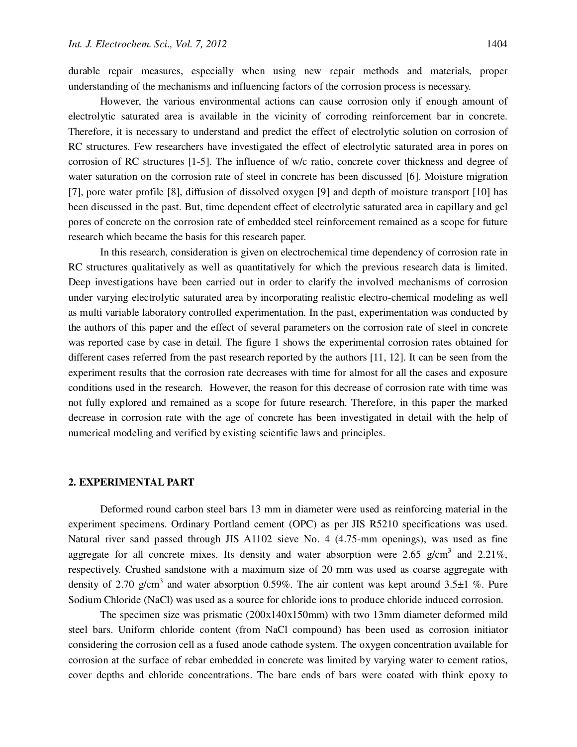durable repair measures, especially when using new repair methods and materials, proper understanding of the mechanisms and influencing factors of the corrosion process is necessary.

However, the various environmental actions can cause corrosion only if enough amount of electrolytic saturated area is available in the vicinity of corroding reinforcement bar in concrete. Therefore, it is necessary to understand and predict the effect of electrolytic solution on corrosion of RC structures. Few researchers have investigated the effect of electrolytic saturated area in pores on corrosion of RC structures [1-5]. The influence of w/c ratio, concrete cover thickness and degree of water saturation on the corrosion rate of steel in concrete has been discussed [6]. Moisture migration [7], pore water profile [8], diffusion of dissolved oxygen [9] and depth of moisture transport [10] has been discussed in the past. But, time dependent effect of electrolytic saturated area in capillary and gel pores of concrete on the corrosion rate of embedded steel reinforcement remained as a scope for future research which became the basis for this research paper.

In this research, consideration is given on electrochemical time dependency of corrosion rate in RC structures qualitatively as well as quantitatively for which the previous research data is limited. Deep investigations have been carried out in order to clarify the involved mechanisms of corrosion under varying electrolytic saturated area by incorporating realistic electro-chemical modeling as well as multi variable laboratory controlled experimentation. In the past, experimentation was conducted by the authors of this paper and the effect of several parameters on the corrosion rate of steel in concrete was reported case by case in detail. The figure 1 shows the experimental corrosion rates obtained for different cases referred from the past research reported by the authors [11, 12]. It can be seen from the experiment results that the corrosion rate decreases with time for almost for all the cases and exposure conditions used in the research. However, the reason for this decrease of corrosion rate with time was not fully explored and remained as a scope for future research. Therefore, in this paper the marked decrease in corrosion rate with the age of concrete has been investigated in detail with the help of numerical modeling and verified by existing scientific laws and principles.

### **2. EXPERIMENTAL PART**

Deformed round carbon steel bars 13 mm in diameter were used as reinforcing material in the experiment specimens. Ordinary Portland cement (OPC) as per JIS R5210 specifications was used. Natural river sand passed through JIS A1102 sieve No. 4 (4.75-mm openings), was used as fine aggregate for all concrete mixes. Its density and water absorption were 2.65 g/cm<sup>3</sup> and 2.21%, respectively. Crushed sandstone with a maximum size of 20 mm was used as coarse aggregate with density of 2.70 g/cm<sup>3</sup> and water absorption 0.59%. The air content was kept around 3.5 $\pm$ 1 %. Pure Sodium Chloride (NaCl) was used as a source for chloride ions to produce chloride induced corrosion.

The specimen size was prismatic (200x140x150mm) with two 13mm diameter deformed mild steel bars. Uniform chloride content (from NaCl compound) has been used as corrosion initiator considering the corrosion cell as a fused anode cathode system. The oxygen concentration available for corrosion at the surface of rebar embedded in concrete was limited by varying water to cement ratios, cover depths and chloride concentrations. The bare ends of bars were coated with think epoxy to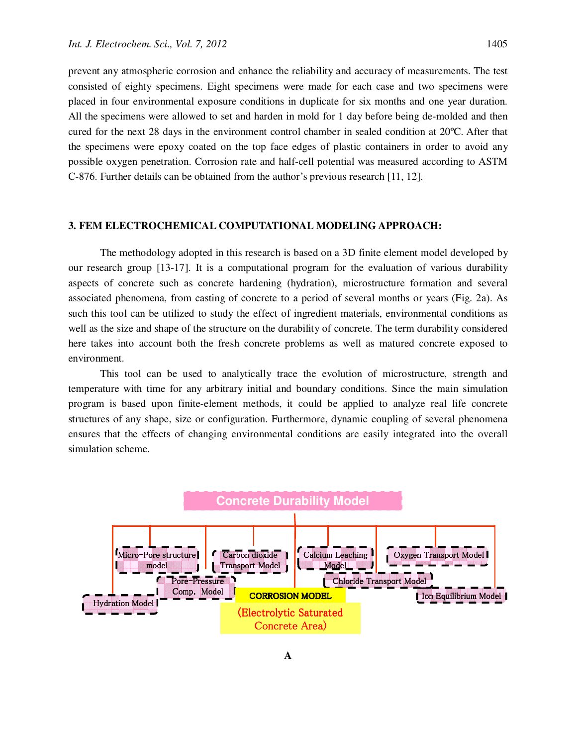prevent any atmospheric corrosion and enhance the reliability and accuracy of measurements. The test consisted of eighty specimens. Eight specimens were made for each case and two specimens were placed in four environmental exposure conditions in duplicate for six months and one year duration. All the specimens were allowed to set and harden in mold for 1 day before being de-molded and then cured for the next 28 days in the environment control chamber in sealed condition at 20ºC. After that the specimens were epoxy coated on the top face edges of plastic containers in order to avoid any possible oxygen penetration. Corrosion rate and half-cell potential was measured according to ASTM C-876. Further details can be obtained from the author's previous research [11, 12].

#### **3. FEM ELECTROCHEMICAL COMPUTATIONAL MODELING APPROACH:**

The methodology adopted in this research is based on a 3D finite element model developed by our research group [13-17]. It is a computational program for the evaluation of various durability aspects of concrete such as concrete hardening (hydration), microstructure formation and several associated phenomena, from casting of concrete to a period of several months or years (Fig. 2a). As such this tool can be utilized to study the effect of ingredient materials, environmental conditions as well as the size and shape of the structure on the durability of concrete. The term durability considered here takes into account both the fresh concrete problems as well as matured concrete exposed to environment.

This tool can be used to analytically trace the evolution of microstructure, strength and temperature with time for any arbitrary initial and boundary conditions. Since the main simulation program is based upon finite-element methods, it could be applied to analyze real life concrete structures of any shape, size or configuration. Furthermore, dynamic coupling of several phenomena ensures that the effects of changing environmental conditions are easily integrated into the overall simulation scheme.

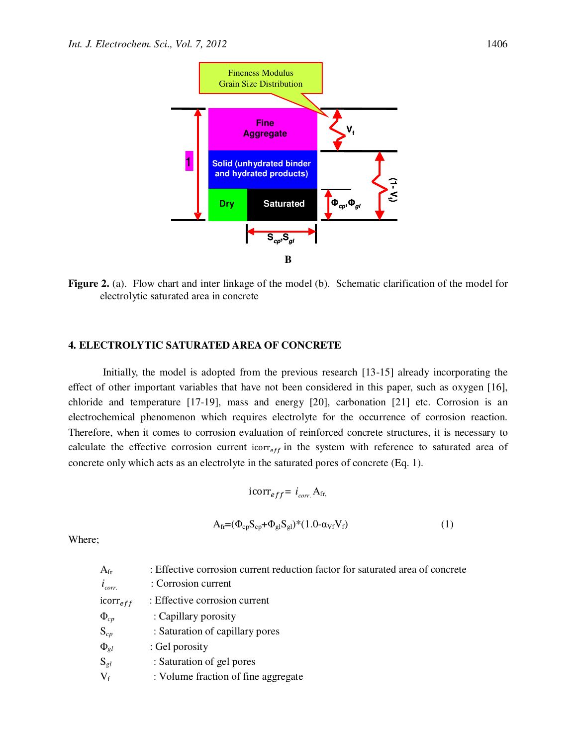

**Figure 2.** (a). Flow chart and inter linkage of the model (b). Schematic clarification of the model for electrolytic saturated area in concrete

#### **4. ELECTROLYTIC SATURATED AREA OF CONCRETE**

 Initially, the model is adopted from the previous research [13-15] already incorporating the effect of other important variables that have not been considered in this paper, such as oxygen [16], chloride and temperature  $[17-19]$ , mass and energy  $[20]$ , carbonation  $[21]$  etc. Corrosion is an electrochemical phenomenon which requires electrolyte for the occurrence of corrosion reaction. Therefore, when it comes to corrosion evaluation of reinforced concrete structures, it is necessary to calculate the effective corrosion current icorr<sub>eff</sub> in the system with reference to saturated area of concrete only which acts as an electrolyte in the saturated pores of concrete (Eq. 1).

$$
\text{icorr}_{eff} = i_{corr.} \mathbf{A}_{fr},
$$

$$
\mathbf{A}_{fr} = (\Phi_{cp} \mathbf{S}_{cp} + \Phi_{gl} \mathbf{S}_{gl})^*(1.0 - \alpha_{Vf} \mathbf{V}_f)
$$
(1)

Where;

| $A_{fr}$      | : Effective corrosion current reduction factor for saturated area of concrete |
|---------------|-------------------------------------------------------------------------------|
| $i_{corr.}$   | : Corrosion current                                                           |
| $icorr_{eff}$ | : Effective corrosion current                                                 |
| $\Phi_{cp}$   | : Capillary porosity                                                          |
| $S_{cp}$      | : Saturation of capillary pores                                               |
| $\Phi_{gl}$   | : Gel porosity                                                                |
| $S_{gl}$      | : Saturation of gel pores                                                     |
| $V_f$         | : Volume fraction of fine aggregate                                           |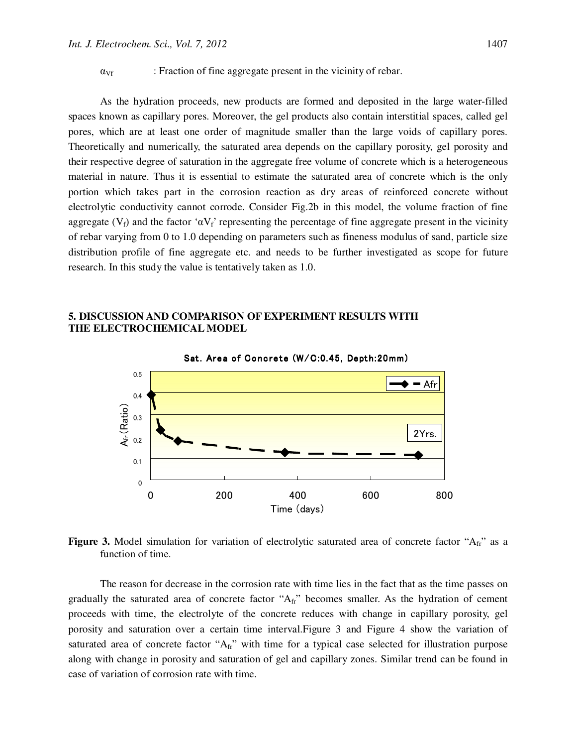$\alpha_{Vf}$  : Fraction of fine aggregate present in the vicinity of rebar.

As the hydration proceeds, new products are formed and deposited in the large water-filled spaces known as capillary pores. Moreover, the gel products also contain interstitial spaces, called gel pores, which are at least one order of magnitude smaller than the large voids of capillary pores. Theoretically and numerically, the saturated area depends on the capillary porosity, gel porosity and their respective degree of saturation in the aggregate free volume of concrete which is a heterogeneous material in nature. Thus it is essential to estimate the saturated area of concrete which is the only portion which takes part in the corrosion reaction as dry areas of reinforced concrete without electrolytic conductivity cannot corrode. Consider Fig.2b in this model, the volume fraction of fine aggregate ( $V_f$ ) and the factor ' $\alpha V_f$ ' representing the percentage of fine aggregate present in the vicinity of rebar varying from 0 to 1.0 depending on parameters such as fineness modulus of sand, particle size distribution profile of fine aggregate etc. and needs to be further investigated as scope for future research. In this study the value is tentatively taken as 1.0.

## **5. DISCUSSION AND COMPARISON OF EXPERIMENT RESULTS WITH THE ELECTROCHEMICAL MODEL**



Figure 3. Model simulation for variation of electrolytic saturated area of concrete factor "A<sub>fr</sub>" as a function of time.

The reason for decrease in the corrosion rate with time lies in the fact that as the time passes on gradually the saturated area of concrete factor " $A_{fr}$ " becomes smaller. As the hydration of cement proceeds with time, the electrolyte of the concrete reduces with change in capillary porosity, gel porosity and saturation over a certain time interval.Figure 3 and Figure 4 show the variation of saturated area of concrete factor " $A_f$ " with time for a typical case selected for illustration purpose along with change in porosity and saturation of gel and capillary zones. Similar trend can be found in case of variation of corrosion rate with time.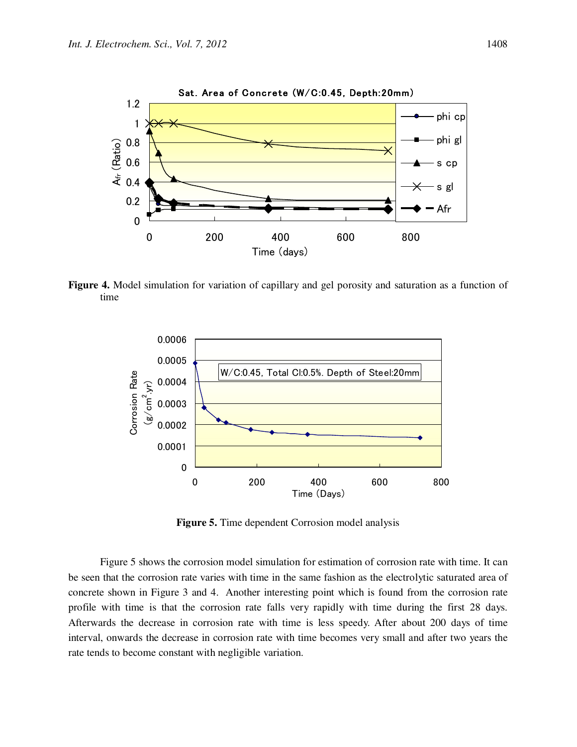

**Figure 4.** Model simulation for variation of capillary and gel porosity and saturation as a function of time



**Figure 5.** Time dependent Corrosion model analysis

Figure 5 shows the corrosion model simulation for estimation of corrosion rate with time. It can be seen that the corrosion rate varies with time in the same fashion as the electrolytic saturated area of concrete shown in Figure 3 and 4. Another interesting point which is found from the corrosion rate profile with time is that the corrosion rate falls very rapidly with time during the first 28 days. Afterwards the decrease in corrosion rate with time is less speedy. After about 200 days of time interval, onwards the decrease in corrosion rate with time becomes very small and after two years the rate tends to become constant with negligible variation.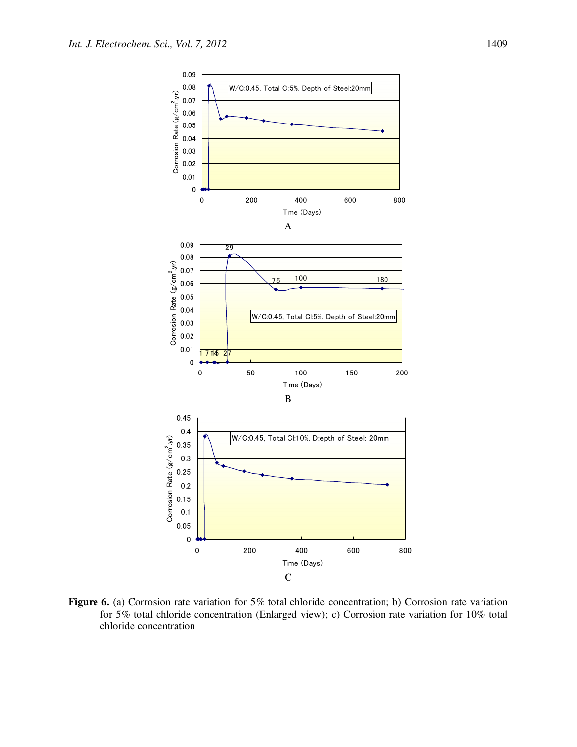

**Figure 6.** (a) Corrosion rate variation for 5% total chloride concentration; b) Corrosion rate variation for 5% total chloride concentration (Enlarged view); c) Corrosion rate variation for 10% total chloride concentration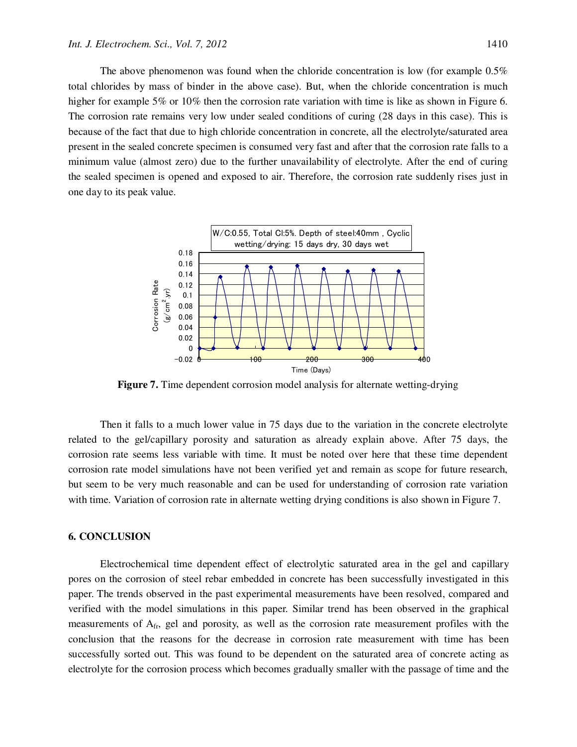The above phenomenon was found when the chloride concentration is low (for example 0.5% total chlorides by mass of binder in the above case). But, when the chloride concentration is much higher for example 5% or 10% then the corrosion rate variation with time is like as shown in Figure 6. The corrosion rate remains very low under sealed conditions of curing (28 days in this case). This is because of the fact that due to high chloride concentration in concrete, all the electrolyte/saturated area present in the sealed concrete specimen is consumed very fast and after that the corrosion rate falls to a minimum value (almost zero) due to the further unavailability of electrolyte. After the end of curing the sealed specimen is opened and exposed to air. Therefore, the corrosion rate suddenly rises just in one day to its peak value.



**Figure 7.** Time dependent corrosion model analysis for alternate wetting-drying

Then it falls to a much lower value in 75 days due to the variation in the concrete electrolyte related to the gel/capillary porosity and saturation as already explain above. After 75 days, the corrosion rate seems less variable with time. It must be noted over here that these time dependent corrosion rate model simulations have not been verified yet and remain as scope for future research, but seem to be very much reasonable and can be used for understanding of corrosion rate variation with time. Variation of corrosion rate in alternate wetting drying conditions is also shown in Figure 7.

#### **6. CONCLUSION**

Electrochemical time dependent effect of electrolytic saturated area in the gel and capillary pores on the corrosion of steel rebar embedded in concrete has been successfully investigated in this paper. The trends observed in the past experimental measurements have been resolved, compared and verified with the model simulations in this paper. Similar trend has been observed in the graphical measurements of Afr, gel and porosity, as well as the corrosion rate measurement profiles with the conclusion that the reasons for the decrease in corrosion rate measurement with time has been successfully sorted out. This was found to be dependent on the saturated area of concrete acting as electrolyte for the corrosion process which becomes gradually smaller with the passage of time and the